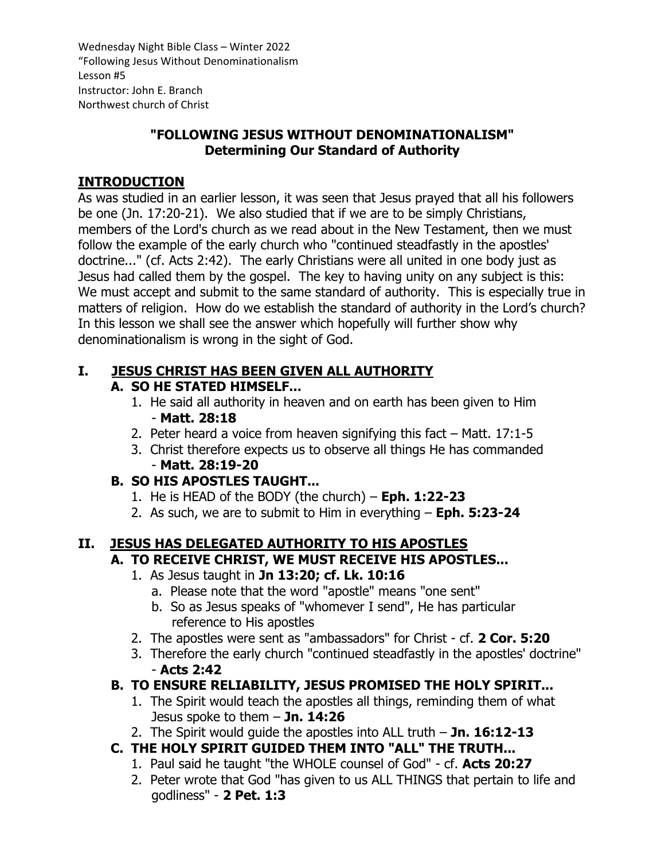Wednesday Night Bible Class – Winter 2022 "Following Jesus Without Denominationalism Lesson #5 Instructor: John E. Branch Northwest church of Christ

### **"FOLLOWING JESUS WITHOUT DENOMINATIONALISM" Determining Our Standard of Authority**

### **INTRODUCTION**

As was studied in an earlier lesson, it was seen that Jesus prayed that all his followers be one (Jn. 17:20-21). We also studied that if we are to be simply Christians, members of the Lord's church as we read about in the New Testament, then we must follow the example of the early church who "continued steadfastly in the apostles' doctrine..." (cf. Acts 2:42). The early Christians were all united in one body just as Jesus had called them by the gospel. The key to having unity on any subject is this: We must accept and submit to the same standard of authority. This is especially true in matters of religion. How do we establish the standard of authority in the Lord's church? In this lesson we shall see the answer which hopefully will further show why denominationalism is wrong in the sight of God.

### **I. JESUS CHRIST HAS BEEN GIVEN ALL AUTHORITY A. SO HE STATED HIMSELF...**

- 1. He said all authority in heaven and on earth has been given to Him - **Matt. 28:18**
- 2. Peter heard a voice from heaven signifying this fact Matt. 17:1-5
- 3. Christ therefore expects us to observe all things He has commanded - **Matt. 28:19-20**

## **B. SO HIS APOSTLES TAUGHT...**

- 1. He is HEAD of the BODY (the church) **Eph. 1:22-23**
- 2. As such, we are to submit to Him in everything **Eph. 5:23-24**

### **II. JESUS HAS DELEGATED AUTHORITY TO HIS APOSTLES A. TO RECEIVE CHRIST, WE MUST RECEIVE HIS APOSTLES...**

- 1. As Jesus taught in **Jn 13:20; cf. Lk. 10:16**
	- a. Please note that the word "apostle" means "one sent"
	- b. So as Jesus speaks of "whomever I send", He has particular reference to His apostles
- 2. The apostles were sent as "ambassadors" for Christ cf. **2 Cor. 5:20**
- 3. Therefore the early church "continued steadfastly in the apostles' doctrine" - **Acts 2:42**

# **B. TO ENSURE RELIABILITY, JESUS PROMISED THE HOLY SPIRIT...**

- 1. The Spirit would teach the apostles all things, reminding them of what Jesus spoke to them – **Jn. 14:26**
- 2. The Spirit would guide the apostles into ALL truth **Jn. 16:12-13**
- **C. THE HOLY SPIRIT GUIDED THEM INTO "ALL" THE TRUTH...**
	- 1. Paul said he taught "the WHOLE counsel of God" cf. **Acts 20:27**
	- 2. Peter wrote that God "has given to us ALL THINGS that pertain to life and godliness" - **2 Pet. 1:3**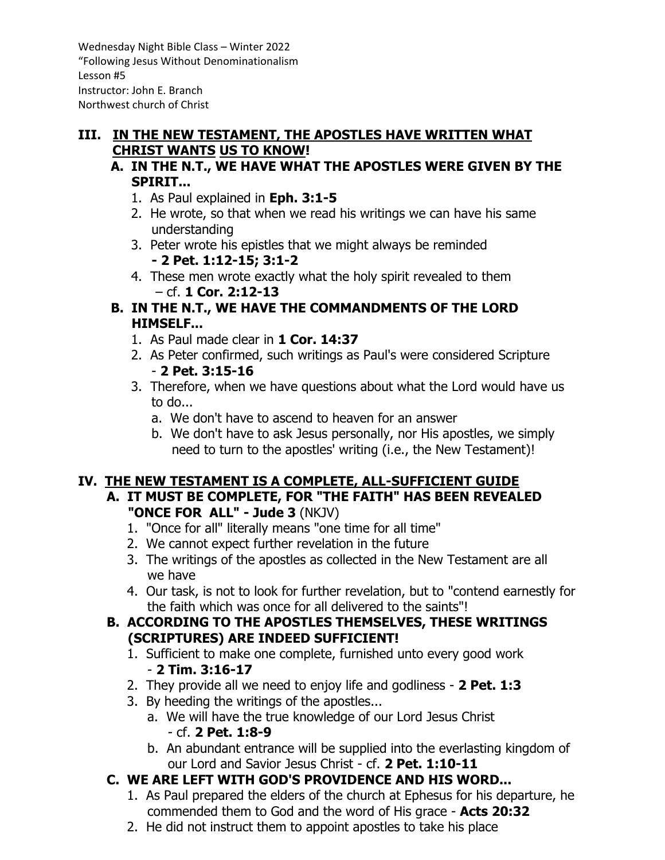Wednesday Night Bible Class – Winter 2022 "Following Jesus Without Denominationalism Lesson #5 Instructor: John E. Branch Northwest church of Christ

#### **III. IN THE NEW TESTAMENT, THE APOSTLES HAVE WRITTEN WHAT CHRIST WANTS US TO KNOW!**

- **A. IN THE N.T., WE HAVE WHAT THE APOSTLES WERE GIVEN BY THE SPIRIT...**
	- 1. As Paul explained in **Eph. 3:1-5**
	- 2. He wrote, so that when we read his writings we can have his same understanding
	- 3. Peter wrote his epistles that we might always be reminded **- 2 Pet. 1:12-15; 3:1-2**
	- 4. These men wrote exactly what the holy spirit revealed to them – cf. **1 Cor. 2:12-13**
- **B. IN THE N.T., WE HAVE THE COMMANDMENTS OF THE LORD HIMSELF...**
	- 1. As Paul made clear in **1 Cor. 14:37**
	- 2. As Peter confirmed, such writings as Paul's were considered Scripture - **2 Pet. 3:15-16**
	- 3. Therefore, when we have questions about what the Lord would have us to do...
		- a. We don't have to ascend to heaven for an answer
		- b. We don't have to ask Jesus personally, nor His apostles, we simply need to turn to the apostles' writing (i.e., the New Testament)!

## **IV. THE NEW TESTAMENT IS A COMPLETE, ALL-SUFFICIENT GUIDE**

- **A. IT MUST BE COMPLETE, FOR "THE FAITH" HAS BEEN REVEALED "ONCE FOR ALL" - Jude 3** (NKJV)
	- 1. "Once for all" literally means "one time for all time"
	- 2. We cannot expect further revelation in the future
	- 3. The writings of the apostles as collected in the New Testament are all we have
	- 4. Our task, is not to look for further revelation, but to "contend earnestly for the faith which was once for all delivered to the saints"!

### **B. ACCORDING TO THE APOSTLES THEMSELVES, THESE WRITINGS (SCRIPTURES) ARE INDEED SUFFICIENT!**

- 1. Sufficient to make one complete, furnished unto every good work - **2 Tim. 3:16-17**
- 2. They provide all we need to enjoy life and godliness **2 Pet. 1:3**
- 3. By heeding the writings of the apostles...
	- a. We will have the true knowledge of our Lord Jesus Christ - cf. **2 Pet. 1:8-9**
	- b. An abundant entrance will be supplied into the everlasting kingdom of our Lord and Savior Jesus Christ - cf. **2 Pet. 1:10-11**

# **C. WE ARE LEFT WITH GOD'S PROVIDENCE AND HIS WORD...**

- 1. As Paul prepared the elders of the church at Ephesus for his departure, he commended them to God and the word of His grace - **Acts 20:32**
- 2. He did not instruct them to appoint apostles to take his place